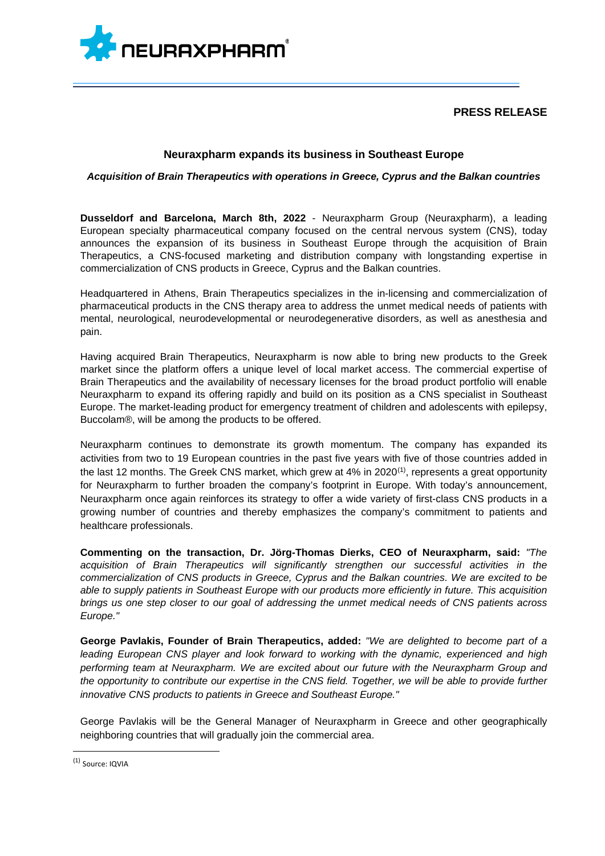

# **PRESS RELEASE**

## **Neuraxpharm expands its business in Southeast Europe**

### *Acquisition of Brain Therapeutics with operations in Greece, Cyprus and the Balkan countries*

**Dusseldorf and Barcelona, March 8th, 2022** - Neuraxpharm Group (Neuraxpharm), a leading European specialty pharmaceutical company focused on the central nervous system (CNS), today announces the expansion of its business in Southeast Europe through the acquisition of Brain Therapeutics, a CNS-focused marketing and distribution company with longstanding expertise in commercialization of CNS products in Greece, Cyprus and the Balkan countries.

Headquartered in Athens, Brain Therapeutics specializes in the in-licensing and commercialization of pharmaceutical products in the CNS therapy area to address the unmet medical needs of patients with mental, neurological, neurodevelopmental or neurodegenerative disorders, as well as anesthesia and pain.

Having acquired Brain Therapeutics, Neuraxpharm is now able to bring new products to the Greek market since the platform offers a unique level of local market access. The commercial expertise of Brain Therapeutics and the availability of necessary licenses for the broad product portfolio will enable Neuraxpharm to expand its offering rapidly and build on its position as a CNS specialist in Southeast Europe. The market-leading product for emergency treatment of children and adolescents with epilepsy, Buccolam®, will be among the products to be offered.

Neuraxpharm continues to demonstrate its growth momentum. The company has expanded its activities from two to 19 European countries in the past five years with five of those countries added in the last 12 months. The Greek CNS market, which grew at 4% in 2020<sup>[\(1\)](#page-0-0)</sup>, represents a great opportunity for Neuraxpharm to further broaden the company's footprint in Europe. With today's announcement, Neuraxpharm once again reinforces its strategy to offer a wide variety of first-class CNS products in a growing number of countries and thereby emphasizes the company's commitment to patients and healthcare professionals.

**Commenting on the transaction, Dr. Jörg-Thomas Dierks, CEO of Neuraxpharm, said:** *"The acquisition of Brain Therapeutics will significantly strengthen our successful activities in the commercialization of CNS products in Greece, Cyprus and the Balkan countries. We are excited to be able to supply patients in Southeast Europe with our products more efficiently in future. This acquisition brings us one step closer to our goal of addressing the unmet medical needs of CNS patients across Europe."*

**George Pavlakis, Founder of Brain Therapeutics, added:** *"We are delighted to become part of a leading European CNS player and look forward to working with the dynamic, experienced and high performing team at Neuraxpharm. We are excited about our future with the Neuraxpharm Group and the opportunity to contribute our expertise in the CNS field. Together, we will be able to provide further innovative CNS products to patients in Greece and Southeast Europe."*

George Pavlakis will be the General Manager of Neuraxpharm in Greece and other geographically neighboring countries that will gradually join the commercial area.

<span id="page-0-0"></span><sup>(1)</sup> Source: IQVIA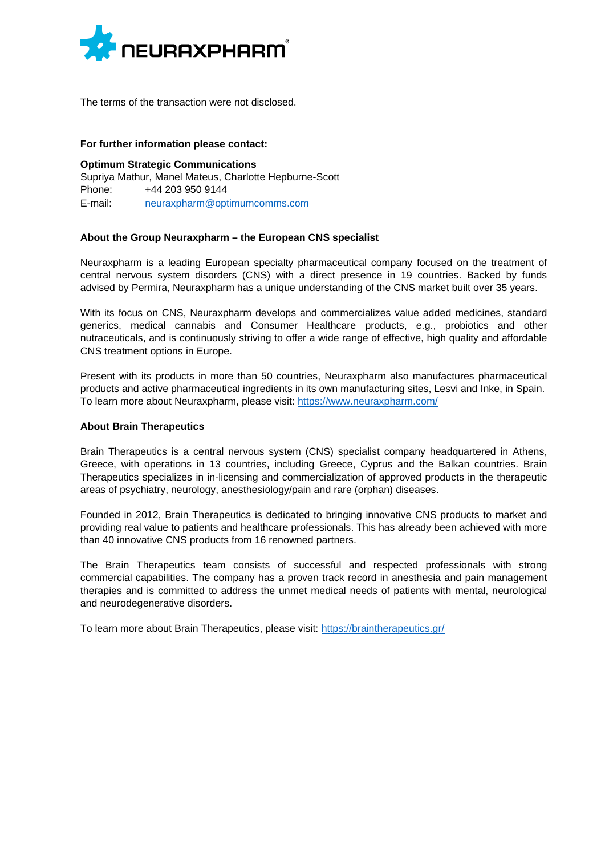

The terms of the transaction were not disclosed.

#### **For further information please contact:**

**Optimum Strategic Communications** Supriya Mathur, Manel Mateus, Charlotte Hepburne-Scott Phone: +44 203 950 9144 E-mail: [neuraxpharm@optimumcomms.com](mailto:neuraxpharm@optimumcomms.com)

#### **About the Group Neuraxpharm – the European CNS specialist**

Neuraxpharm is a leading European specialty pharmaceutical company focused on the treatment of central nervous system disorders (CNS) with a direct presence in 19 countries. Backed by funds advised by Permira, Neuraxpharm has a unique understanding of the CNS market built over 35 years.

With its focus on CNS, Neuraxpharm develops and commercializes value added medicines, standard generics, medical cannabis and Consumer Healthcare products, e.g., probiotics and other nutraceuticals, and is continuously striving to offer a wide range of effective, high quality and affordable CNS treatment options in Europe.

Present with its products in more than 50 countries, Neuraxpharm also manufactures pharmaceutical products and active pharmaceutical ingredients in its own manufacturing sites, Lesvi and Inke, in Spain. To learn more about Neuraxpharm, please visit: <https://www.neuraxpharm.com/>

### **About Brain Therapeutics**

Brain Therapeutics is a central nervous system (CNS) specialist company headquartered in Athens, Greece, with operations in 13 countries, including Greece, Cyprus and the Balkan countries. Brain Therapeutics specializes in in-licensing and commercialization of approved products in the therapeutic areas of psychiatry, neurology, anesthesiology/pain and rare (orphan) diseases.

Founded in 2012, Brain Therapeutics is dedicated to bringing innovative CNS products to market and providing real value to patients and healthcare professionals. This has already been achieved with more than 40 innovative CNS products from 16 renowned partners.

The Brain Therapeutics team consists of successful and respected professionals with strong commercial capabilities. The company has a proven track record in anesthesia and pain management therapies and is committed to address the unmet medical needs of patients with mental, neurological and neurodegenerative disorders.

To learn more about Brain Therapeutics, please visit: <https://braintherapeutics.gr/>